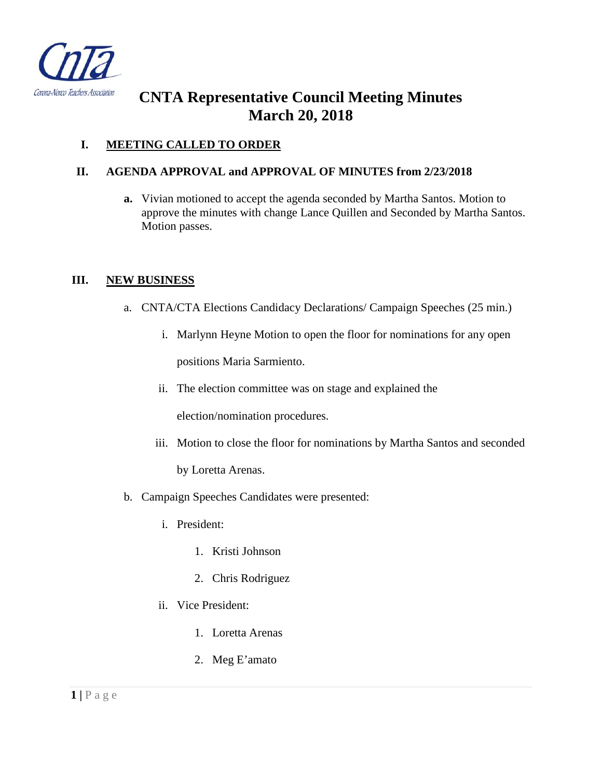

# **CNTA Representative Council Meeting Minutes March 20, 2018**

# **I. MEETING CALLED TO ORDER**

### **II. AGENDA APPROVAL and APPROVAL OF MINUTES from 2/23/2018**

**a.** Vivian motioned to accept the agenda seconded by Martha Santos. Motion to approve the minutes with change Lance Quillen and Seconded by Martha Santos. Motion passes.

#### **III. NEW BUSINESS**

- a. CNTA/CTA Elections Candidacy Declarations/ Campaign Speeches (25 min.)
	- i. Marlynn Heyne Motion to open the floor for nominations for any open positions Maria Sarmiento.
	- ii. The election committee was on stage and explained the

election/nomination procedures.

iii. Motion to close the floor for nominations by Martha Santos and seconded

by Loretta Arenas.

- b. Campaign Speeches Candidates were presented:
	- i. President:
		- 1. Kristi Johnson
		- 2. Chris Rodriguez
	- ii. Vice President:
		- 1. Loretta Arenas
		- 2. Meg E'amato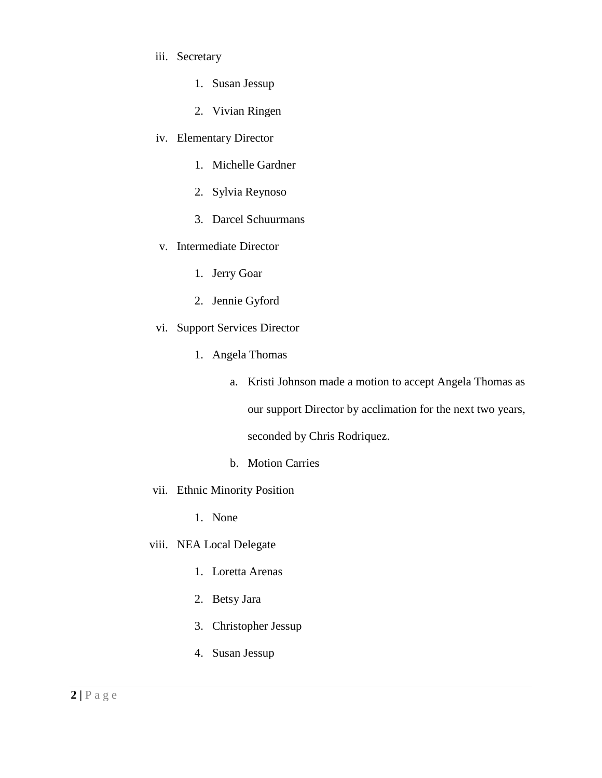- iii. Secretary
	- 1. Susan Jessup
	- 2. Vivian Ringen
- iv. Elementary Director
	- 1. Michelle Gardner
	- 2. Sylvia Reynoso
	- 3. Darcel Schuurmans
- v. Intermediate Director
	- 1. Jerry Goar
	- 2. Jennie Gyford
- vi. Support Services Director
	- 1. Angela Thomas
		- a. Kristi Johnson made a motion to accept Angela Thomas as our support Director by acclimation for the next two years, seconded by Chris Rodriquez.
		- b. Motion Carries
- vii. Ethnic Minority Position
	- 1. None
- viii. NEA Local Delegate
	- 1. Loretta Arenas
	- 2. Betsy Jara
	- 3. Christopher Jessup
	- 4. Susan Jessup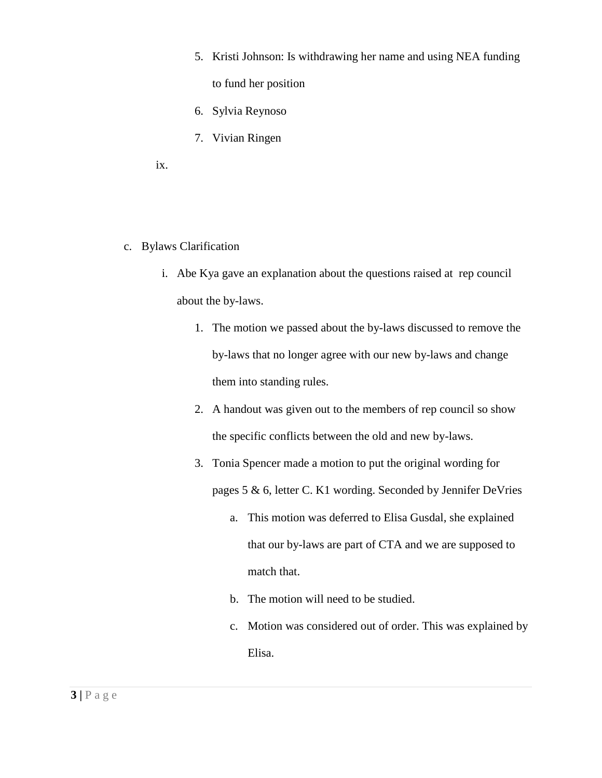- 5. Kristi Johnson: Is withdrawing her name and using NEA funding to fund her position
- 6. Sylvia Reynoso
- 7. Vivian Ringen
- ix.
- c. Bylaws Clarification
	- i. Abe Kya gave an explanation about the questions raised at rep council about the by-laws.
		- 1. The motion we passed about the by-laws discussed to remove the by-laws that no longer agree with our new by-laws and change them into standing rules.
		- 2. A handout was given out to the members of rep council so show the specific conflicts between the old and new by-laws.
		- 3. Tonia Spencer made a motion to put the original wording for pages 5 & 6, letter C. K1 wording. Seconded by Jennifer DeVries
			- a. This motion was deferred to Elisa Gusdal, she explained that our by-laws are part of CTA and we are supposed to match that.
			- b. The motion will need to be studied.
			- c. Motion was considered out of order. This was explained by Elisa.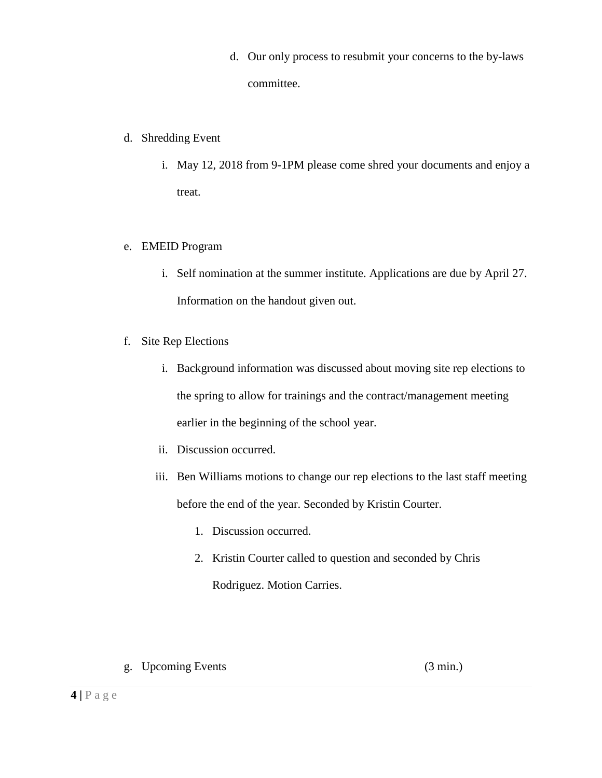- d. Our only process to resubmit your concerns to the by-laws committee.
- d. Shredding Event
	- i. May 12, 2018 from 9-1PM please come shred your documents and enjoy a treat.
- e. EMEID Program
	- i. Self nomination at the summer institute. Applications are due by April 27. Information on the handout given out.
- f. Site Rep Elections
	- i. Background information was discussed about moving site rep elections to the spring to allow for trainings and the contract/management meeting earlier in the beginning of the school year.
	- ii. Discussion occurred.
	- iii. Ben Williams motions to change our rep elections to the last staff meeting before the end of the year. Seconded by Kristin Courter.
		- 1. Discussion occurred.
		- 2. Kristin Courter called to question and seconded by Chris

Rodriguez. Motion Carries.

g. Upcoming Events (3 min.)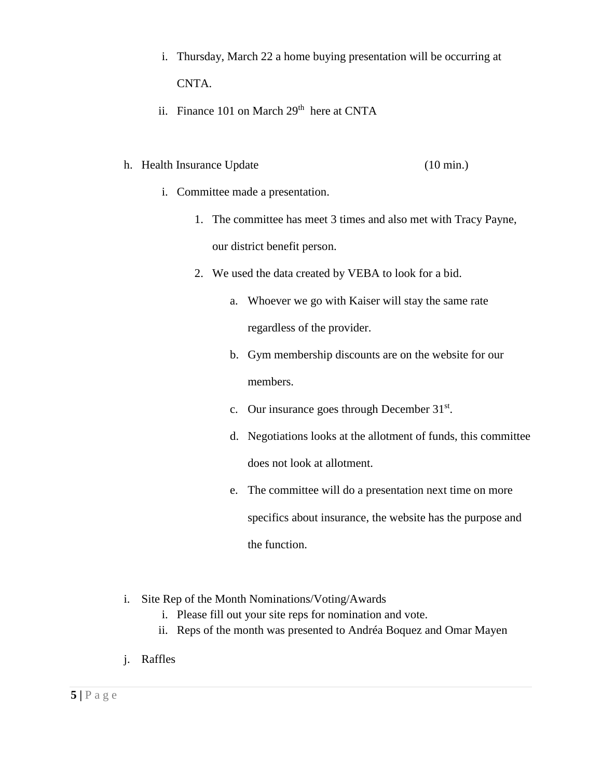- i. Thursday, March 22 a home buying presentation will be occurring at CNTA.
- ii. Finance 101 on March 29<sup>th</sup> here at CNTA

# h. Health Insurance Update (10 min.)

- i. Committee made a presentation.
	- 1. The committee has meet 3 times and also met with Tracy Payne, our district benefit person.
	- 2. We used the data created by VEBA to look for a bid.
		- a. Whoever we go with Kaiser will stay the same rate regardless of the provider.
		- b. Gym membership discounts are on the website for our members.
		- c. Our insurance goes through December 31<sup>st</sup>.
		- d. Negotiations looks at the allotment of funds, this committee does not look at allotment.
		- e. The committee will do a presentation next time on more specifics about insurance, the website has the purpose and the function.
- i. Site Rep of the Month Nominations/Voting/Awards
	- i. Please fill out your site reps for nomination and vote.
	- ii. Reps of the month was presented to Andréa Boquez and Omar Mayen
- j. Raffles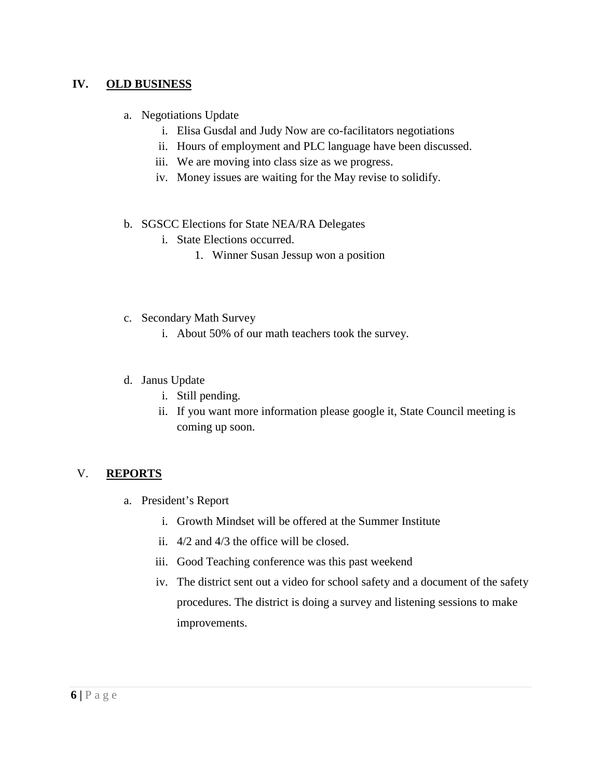# **IV. OLD BUSINESS**

- a. Negotiations Update
	- i. Elisa Gusdal and Judy Now are co-facilitators negotiations
	- ii. Hours of employment and PLC language have been discussed.
	- iii. We are moving into class size as we progress.
	- iv. Money issues are waiting for the May revise to solidify.
- b. SGSCC Elections for State NEA/RA Delegates
	- i. State Elections occurred.
		- 1. Winner Susan Jessup won a position
- c. Secondary Math Survey
	- i. About 50% of our math teachers took the survey.

#### d. Janus Update

- i. Still pending.
- ii. If you want more information please google it, State Council meeting is coming up soon.

### V. **REPORTS**

- a. President's Report
	- i. Growth Mindset will be offered at the Summer Institute
	- ii. 4/2 and 4/3 the office will be closed.
	- iii. Good Teaching conference was this past weekend
	- iv. The district sent out a video for school safety and a document of the safety procedures. The district is doing a survey and listening sessions to make improvements.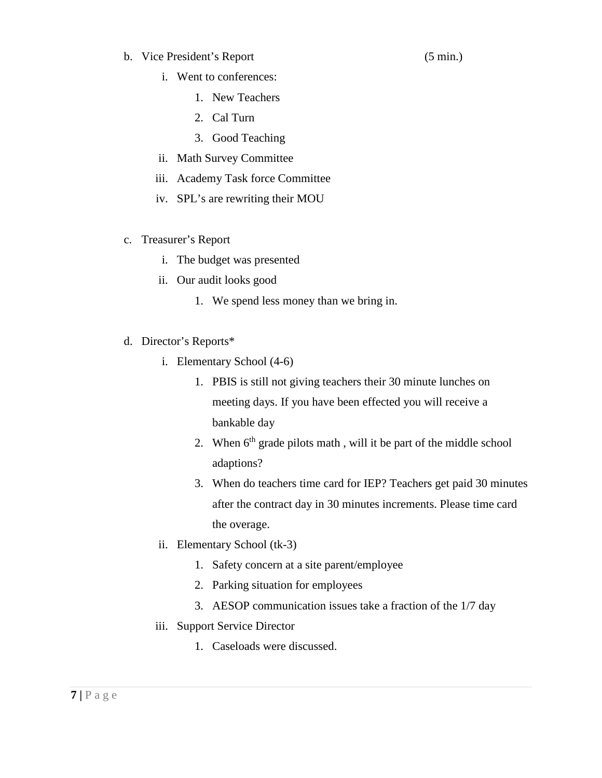b. Vice President's Report (5 min.)

- i. Went to conferences:
	- 1. New Teachers
	- 2. Cal Turn
	- 3. Good Teaching
- ii. Math Survey Committee
- iii. Academy Task force Committee
- iv. SPL's are rewriting their MOU
- c. Treasurer's Report
	- i. The budget was presented
	- ii. Our audit looks good
		- 1. We spend less money than we bring in.
- d. Director's Reports\*
	- i. Elementary School (4-6)
		- 1. PBIS is still not giving teachers their 30 minute lunches on meeting days. If you have been effected you will receive a bankable day
		- 2. When  $6<sup>th</sup>$  grade pilots math, will it be part of the middle school adaptions?
		- 3. When do teachers time card for IEP? Teachers get paid 30 minutes after the contract day in 30 minutes increments. Please time card the overage.
	- ii. Elementary School (tk-3)
		- 1. Safety concern at a site parent/employee
		- 2. Parking situation for employees
		- 3. AESOP communication issues take a fraction of the 1/7 day
	- iii. Support Service Director
		- 1. Caseloads were discussed.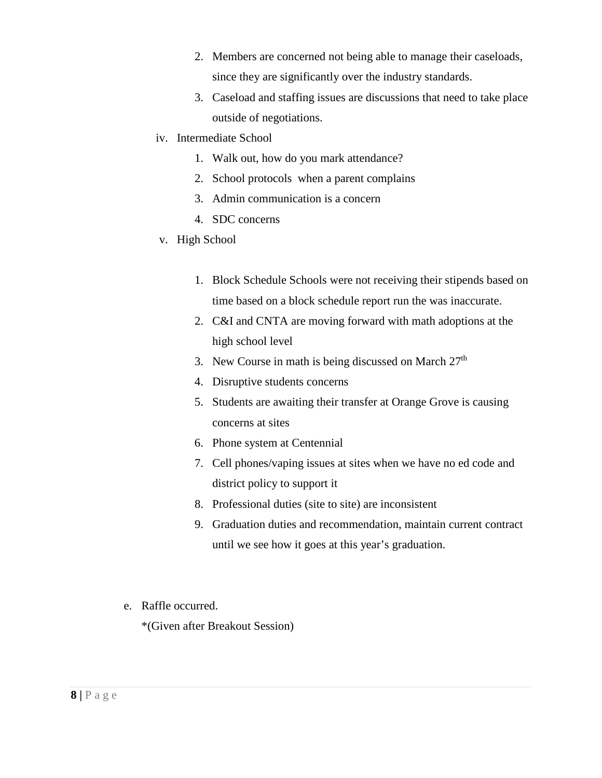- 2. Members are concerned not being able to manage their caseloads, since they are significantly over the industry standards.
- 3. Caseload and staffing issues are discussions that need to take place outside of negotiations.
- iv. Intermediate School
	- 1. Walk out, how do you mark attendance?
	- 2. School protocols when a parent complains
	- 3. Admin communication is a concern
	- 4. SDC concerns
- v. High School
	- 1. Block Schedule Schools were not receiving their stipends based on time based on a block schedule report run the was inaccurate.
	- 2. C&I and CNTA are moving forward with math adoptions at the high school level
	- 3. New Course in math is being discussed on March  $27<sup>th</sup>$
	- 4. Disruptive students concerns
	- 5. Students are awaiting their transfer at Orange Grove is causing concerns at sites
	- 6. Phone system at Centennial
	- 7. Cell phones/vaping issues at sites when we have no ed code and district policy to support it
	- 8. Professional duties (site to site) are inconsistent
	- 9. Graduation duties and recommendation, maintain current contract until we see how it goes at this year's graduation.
- e. Raffle occurred.

\*(Given after Breakout Session)